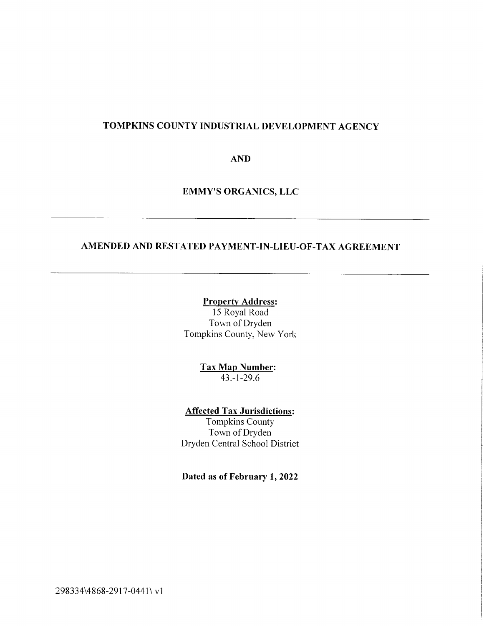# TOMPKINS COUNTY INDUSTRIAL DEVELOPMENT AGENCY

AND

EMMY'S ORGANICS, LLC

# AMENDED AND RESTATED PAYMENT-IN-LIEU-OF-TAX AGREEMENT

#### Property Address:

15 Royal Road Town of Dryden Tompkins County, New York

> Tax Map Number:  $43.-1-29.6$

Affected Tax Jurisdictions: Tompkins County

Town of Dryden Dryden Central School District

Dated as of February 1, 2022

298334\4868-2917-0441\ vl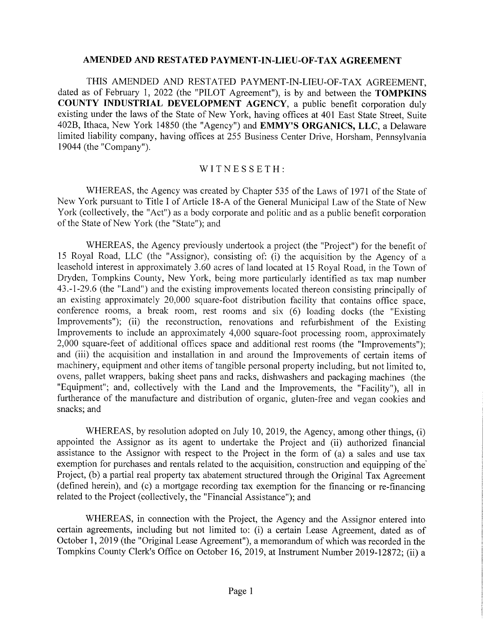#### AMENDED AND RESTATED PAYMENT-IN-LIEU-OF-TAX AGREEMENT

THIS AMENDED AND RESTATED PAYMENT-IN-LIEU-OF-TAX AGREEMENT, dated as of February 1, 2022 (the "PILOT Agreement"), is by and between the TOMPKINS COUNTY INDUSTRIAL DEVELOPMENT AGENCY, a public benefit corporation duly existing under the laws of the State of New York, having offices at 401 East State Street, Suite 402B, Ithaca, New York 14850 (the "Agency") and EMMY'S ORGANICS, LLC, a Delaware limited liability company, having offices at 255 Business Center Drive, Horsham, Pennsylvania 19044 (the "Company").

#### WITNESSETH:

WHEREAS, the Agency was created by Chapter 535 of the Laws of 1971 of the State of New York pursuant to Title I of Article 18-A of the General Municipal Law of the State of New York (collectively, the "Act") as a body corporate and politic and as a public benefit corporation of the State of New York (the "State"); and

WHEREAS, the Agency previously undertook a project (the "Project") for the benefit of 15 Royal Road, LLC (the "Assignor), consisting of: (i) the acquisition by the Agency of a leasehold interest in approximately 3.60 acres of land located at 15 Royal Road, in the Town of Dryden, Tompkins County, New York, being more particularly identified as tax map number 43.-1-29.6 (the "Land") and the existing improvements located thereon consisting principally of an existing, approximately 20,000 square-foot distribution facility that contains office space, conference rooms, a break room, rest rooms and six (6) loading docks (the "Existing Improvements"); (ii) the reconstruction, renovations and refurbishment of the Existing Improvements to include an approximately 4,000 square-foot processing room, approximately 2,000 square-feet of additional offices space and additional rest rooms (the "Improvements"); and (iii) the acquisition and installation in and around the Improvements of certain items of machinery, equipment and other items of tangible personal property including, but not limited to, ovens, pallet wrappers, baking sheet pans and racks, dishwashers and packaging machines (the "Equipment"; and, collectively with the Land and the Improvements, the "Facility"), all in furtherance of the manufacture and distribution of organic, gluten-free and vegan cookies and snacks; and

WHEREAS, by resolution adopted on July 10, 2019, the Agency, among other things, (i) appointed the Assignor as its agent to undertake the Project and (ii) authorized financial assistance to the Assignor with respect to the Project in the form of (a) a sales and use tax exemption for purchases and rentals related to the acquisition, construction and equipping of the Project, (b) a partial real property tax abatement structured through the Original Tax Agreement (defined herein), and (c) a mortgage recording tax exemption for the financing or re-financing related to the Project (collectively, the "Financial Assistance"); and

WHEREAS, in connection with the Project, the Agency and the Assignor entered into certain agreements, including but not limited to: (i) a certain Lease Agreement, dated as of October 1, 2019 (the "Original Lease Agreement"), a memorandum of which was recorded in the Tompkins County Clerk's Office on October 16, 2019, at Instrument Number 2019-12872; (ii) a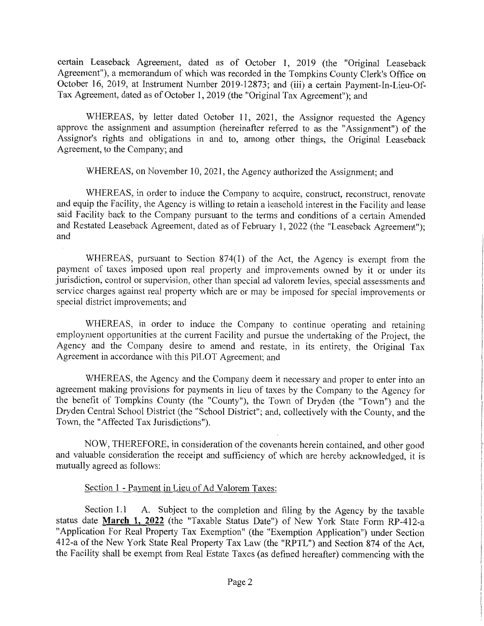certain Leaseback Agreement, dated as of October 1, 2019 (the "Original Leaseback Agreement"), a memorandum of which was recorded in the Tompkins County Clerk's Office on October 16, 2019, at Instrument Number 2019-12873; and (iii) a certain Payment-In-Lieu-Of-Tax Agreement, dated as of October 1, 2019 (the "Original Tax Agreement"); and

WHEREAS, by letter dated October 11, 2021, the Assignor requested the Agency approve the assignment and assumption (hereinafter referred to as the "Assignment") of the Assignor's rights and obligations in and to, among other things, the Original Leaseback Agreement, to the Company; and

WHEREAS, on November 10, 2021, the Agency authorized the Assignment; and

WHEREAS, in order to induce the Company to acquire, construct, reconstruct, renovate and equip the Facility, the Agency is willing to retain a leasehold interest in the Facility and lease said Facility back to the Company pursuant to the terms and conditions of a certain Amended and Restated Leaseback Agreement, dated as of February 1, 2022 (the "Leaseback Agreement"); and

WHEREAS, pursuant to Section 874(1) of the Act, the Agency is exempt from the payment of taxes imposed upon real property and improvements owned by it or under its jurisdiction, control or supervision, other than special ad valorem levies, special assessments and service charges against real property which are or may be imposed for special improvements or special district improvements; and

WHEREAS, in order to induce the Company to continue operating and retaining employment opportunities at the current Facility and pursue the undertaking of the Project, the Agency and the Company desire to amend and restate, in its entirety, the Original Tax Agreement in accordance with this PILOT Agreement; and

WHEREAS, the Agency and the Company deem it necessary and proper to enter into an agreement making provisions for payments in lieu of taxes by the Company to the Agency for the benefit of Tompkins County (the "County"), the Town of Dryden (the "Town") and the Dryden Central School District (the "School District"; and, collectively with the County, and the Town, the "Affected Tax Jurisdictions").

NOW, THEREFORE, in consideration of the covenants herein contained, and other good and valuable consideration the receipt and sufficiency of which are hereby acknowledged, it is mutually agreed as follows:

#### Section 1 - Payment in Lieu of Ad Valorem Taxes:

Section 1.1 A. Subject to the completion and filing by the Agency by the taxable status date March 1, 2022 (the "Taxable Status Date") of New York State Form RP-412-a "Application For Real Property Tax Exemption" (the "Exemption Application") under Section 412-a of the New York State Real Property Tax Law (the "RPTL") and Section 874 of the Act, the Facility shall be exempt from Real Estate Taxes (as defined hereafter) commencing with the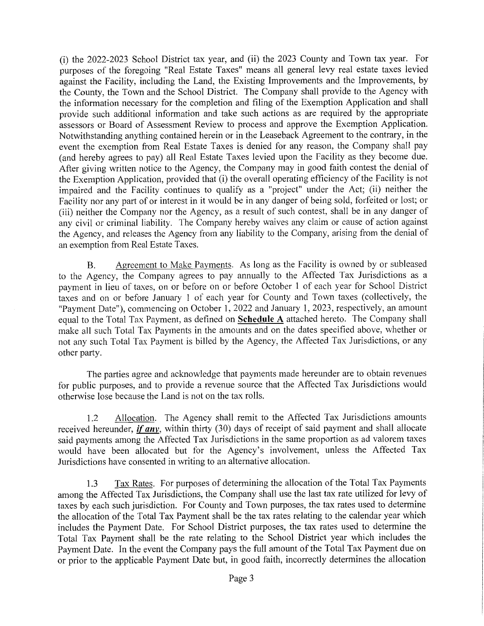(i) the 2022-2023 School District tax year, and (ii) the 2023 County and Town tax year. For purposes of the foregoing "Real Estate Taxes" means all general levy real estate taxes levied against the Facility, including the Land, the Existing Improvements and the Improvements, by the County, the Town and the School District. The Company shall provide to the Agency with the information necessary for the completion and filing of the Exemption Application and shall provide such additional information and take such actions as are required by the appropriate assessors or Board of Assessment Review to process and approve the Exemption Application. Notwithstanding anything contained herein or in the Leaseback Agreement to the contrary, in the event the exemption from Real Estate Taxes is denied for any reason, the Company shall pay (and hereby agrees to pay) all Real Estate Taxes levied upon the Facility as they become due. After giving written notice to the Agency, the Company may in good faith contest the denial of the Exemption Application, provided that (i) the overall operating efficiency of the Facility is not impaired and the Facility continues to qualify as a "project" under the Act; (ii) neither the Facility nor any part of or interest in it would be in any danger of being sold, forfeited or lost; or (iii) neither the Company nor the Agency, as a result of such contest, shall be in any danger of any civil or criminal liability. The Company hereby waives any claim or cause of action against the Agency, and releases the Agency from any liability to the Company, arising from the denial of an exemption from Real Estate Taxes.

B. Agreement to Make Payments. As long as the Facility is owned by or subleased to the Agency, the Company agrees to pay annually to the Affected Tax Jurisdictions as a payment in lieu of taxes, on or before on or before October 1 of each year for School District taxes and on or before January 1 of each year for County and Town taxes (collectively, the "Payment Date"), commencing on October 1, 2022 and January 1, 2023, respectively, an amount equal to the Total Tax Payment, as defined on **Schedule A** attached hereto. The Company shall make all such Total Tax Payments in the amounts and on the dates specified above, whether or not any such Total Tax Payment is billed by the Agency, the Affected Tax Jurisdictions, or any other party.

The parties agree and acknowledge that payments made hereunder are to obtain revenues for public purposes, and to provide a revenue source that the Affected Tax Jurisdictions would otherwise lose because the Land is not on the tax rolls.

1.2 Allocation. The Agency shall remit to the Affected Tax Jurisdictions amounts received hereunder,  $\frac{if \space any}$ , within thirty (30) days of receipt of said payment and shall allocate said payments among the Affected Tax Jurisdictions in the same proportion as ad valorem taxes would have been allocated but for the Agency's involvement, unless the Affected Tax Jurisdictions have consented in writing to an alternative allocation.

1.3 Tax Rates. For purposes of determining the allocation of the Total Tax Payments among the Affected Tax Jurisdictions, the Company shall use the last tax rate utilized for levy of taxes by each such jurisdiction. For County and Town purposes, the tax rates used to determine the allocation of the Total Tax Payment shall be the tax rates relating to the calendar year which includes the Payment Date. For School District purposes, the tax rates used to determine the Total Tax Payment shall be the rate relating to the School District year which includes the Payment Date. In the event the Company pays the full amount of the Total Tax Payment due on or prior to the applicable Payment Date but, in good faith, incorrectly determines the allocation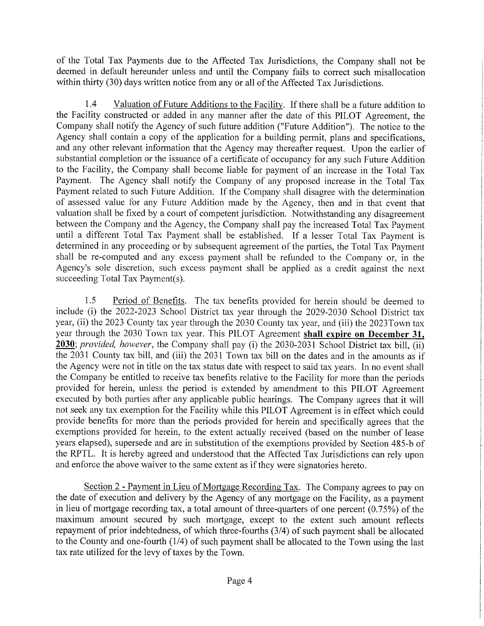of the Total Tax Payments due to the Affected Tax Jurisdictions, the Company shall not be deemed in default hereunder unless and until the Company fails to correct such misallocation within thirty (30) days written notice from any or all of the Affected Tax Jurisdictions.

1.4 Valuation of Future Additions to the Facility. If there shall be a future addition to the Facility constructed or added in any manner after the date of this PILOT Agreement, the Company shall notify the Agency of such future addition ("Future Addition"). The notice to the Agency shall contain a copy of the application for a building permit, plans and specifications, and any other relevant information that the Agency may thereafter request. Upon the earlier of substantial completion or the issuance of a certificate of occupancy for any such Future Addition to the Facility, the Company shall become liable for payment of an increase in the Total Tax Payment. The Agency shall notify the Company of any proposed increase in the Total Tax Payment related to such Future Addition. If the Company shall disagree with the determination of assessed value for any Future Addition made by the Agency, then and in that event that valuation shall be fixed by a court of competent jurisdiction. Notwithstanding any disagreement between the Company and the Agency, the Company shall pay the increased Total Tax Payment until a different Total Tax Payment shall be established. If a lesser Total Tax Payment is determined in any proceeding or by subsequent agreement of the parties, the Total Tax Payment shall be re-computed and any excess payment shall be refunded to the Company or, in the Agency's sole discretion, such excess payment shall be applied as a credit against the next succeeding Total Tax Payment(s).

1.5 Period of Benefits. The tax benefits provided for herein should be deemed to include (i) the 2022-2023 School District tax year through the 2029-2030 School District tax year, (ii) the 2023 County tax year through the 2030 County tax year, and (iii) the 2023Town tax year through the 2030 Town tax year. This PILOT Agreement shall expire on December 31,  $2030$ ; provided, however, the Company shall pay (i) the 2030-2031 School District tax bill, (ii) the 2031 County tax bill, and (iii) the 2031 Town tax bill on the dates and in the amounts as if the Agency were not in title on the tax status date with respect to said tax years. In no event shall the Company be entitled to receive tax benefits relative to the Facility for more than the periods provided for herein, unless the period is extended by amendment to this PILOT Agreement executed by both parties after any applicable public hearings. The Company agrees that it will not seek any tax exemption for the Facility while this PILOT Agreement is in effect which could provide benefits for more than the periods provided for herein and specifically agrees that the exemptions provided for herein, to the extent actually received (based on the number of lease years elapsed), supersede and are in substitution of the exemptions provided by Section 485-b of the RPTL. It is hereby agreed and understood that the Affected Tax Jurisdictions can rely upon and enforce the above waiver to the same extent as if they were signatories hereto.

Section 2 - Payment in Lieu of Mortgage Recording Tax. The Company agrees to pay on the date of execution and delivery by the Agency of any mortgage on the Facility, as a payment in lieu of mortgage recording tax, a total amount of three-quarters of one percent (0.75%) of the maximum amount secured by such mortgage, except to the extent such amount reflects repayment of prior indebtedness, of which three-fourths (3/4) of such payment shall be allocated to the County and one-fourth (1/4) of such payment shall be allocated to the Town using the last tax rate utilized for the levy of taxes by the Town.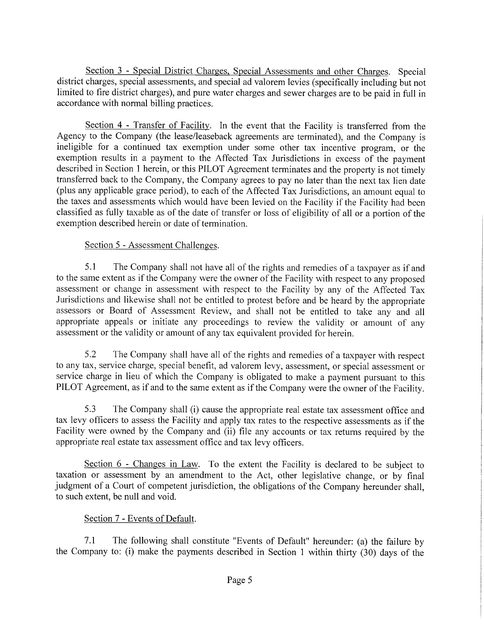Section 3 - Special District Charges, Special Assessments and other Charges. Special district charges, special assessments, and special ad valorem levies (specifically including but not limited to fire district charges), and pure water charges and sewer charges are to be paid in full in accordance with normal billing practices.

Section 4 - Transfer of Facility. In the event that the Facility is transferred from the Agency to the Company (the lease/leaseback agreements are terminated), and the Company is ineligible for a continued tax exemption under some other tax incentive program, or the exemption results in a payment to the Affected Tax Jurisdictions in excess of the payment described in Section 1 herein, or this PILOT Agreement terminates and the property is not timely transferred back to the Company, the Company agrees to pay no later than the next tax lien date (plus any applicable grace period), to each of the Affected Tax Jurisdictions, an amount equal to the taxes and assessments which would have been levied on the Facility if the Facility had been classified as fully taxable as of the date of transfer or loss of eligibility of all or a portion of the exemption described herein or date of termination.

# Section 5 - Assessment Challenges.

5.1 The Company shall not have all of the rights and remedies of a taxpayer as if and to the same extent as if the Company were the owner of the Facility with respect to any proposed assessment or change in assessment with respect to the Facility by any of the Affected Tax Jurisdictions and likewise shall not be entitled to protest before and be heard by the appropriate assessors or Board of Assessment Review, and shall not be entitled to take any and all appropriate appeals or initiate any proceedings to review the validity or amount of any assessment or the validity or amount of any tax equivalent provided for herein.

5.2 The Company shall have all of the rights and remedies of a taxpayer with respect to any tax, service charge, special benefit, ad valorem levy, assessment, or special assessment or service charge in lieu of which the Company is obligated to make a payment pursuant to this PILOT Agreement, as if and to the same extent as if the Company were the owner of the Facility.

5.3 The Company shall (i) cause the appropriate real estate tax assessment office and tax levy officers to assess the Facility and apply tax rates to the respective assessments as if the Facility were owned by the Company and (ii) file any accounts or tax returns required by the appropriate real estate tax assessment office and tax levy officers.

Section 6 - Changes in Law. To the extent the Facility is declared to be subject to taxation or assessment by an amendment to the Act, other legislative change, or by final judgment of a Court of competent jurisdiction, the obligations of the Company hereunder shall, to such extent, be null and void.

#### Section 7 - Events of Default.

7.1 The following shall constitute "Events of Default" hereunder: (a) the failure by the Company to: (i) make the payments described in Section 1 within thirty (30) days of the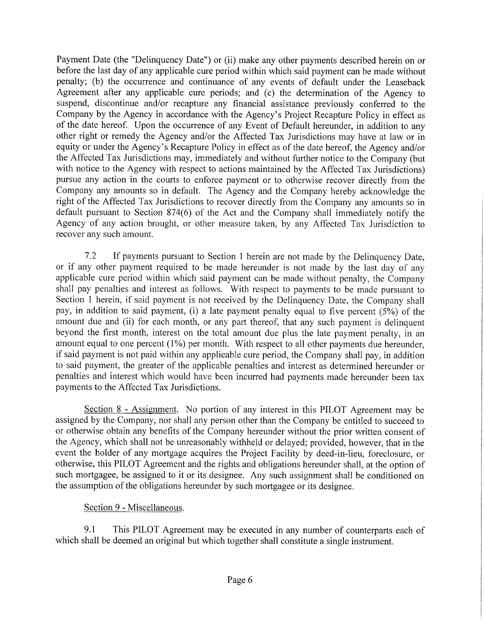Payment Date (the "Delinquency Date") or (ii) make any other payments described herein on or before the last day of any applicable cure period within which said payment can be made without penalty; (b) the occurrence and continuance of any events of default under the Leaseback Agreement after any applicable cure periods; and (c) the determination of the Agency to suspend, discontinue and/or recapture any financial assistance previously conferred to the Company by the Agency in accordance with the Agency's Project Recapture Policy in effect as of the date hereof. Upon the occurrence of any Event of Default hereunder, in addition to any other right or remedy the Agency and/or the Affected Tax Jurisdictions may have at law or in equity or under the Agency's Recapture Policy in effect as of the date hereof, the Agency and/or the Affected Tax Jurisdictions may, immediately and without further notice to the Company (but with notice to the Agency with respect to actions maintained by the Affected Tax Jurisdictions) pursue any action in the courts to enforce payment or to otherwise recover directly from the Company any amounts so in default. The Agency and the Company hereby acknowledge the right of the Affected Tax Jurisdictions to recover directly from the Company any amounts so in default pursuant to Section 874(6) of the Act and the Company shall immediately notify the Agency of any action brought, or other measure taken, by any Affected Tax Jurisdiction to recover any such amount.

7.2 If payments pursuant to Section 1 herein are not made by the Delinquency Date, or if any other payment required to be made hereunder is not made by the last day of any applicable cure period within which said payment can be made without penalty, the Company shall pay penalties and interest as follows. With respect to payments to be made pursuant to Section 1 herein, if said payment is not received by the Delinquency Date, the Company shall pay, in addition to said payment, (i) a late payment penalty equal to five percent (5%) of the amount due and (ii) for each month, or any part thereof, that any such payment is delinquent beyond the first month, interest on the total amount due plus the late payment penalty, in an amount equal to one percent (1%) per month. With respect to all other payments due hereunder, if said payment is not paid within any applicable cure period, the Company shall pay, in addition to said payment, the greater of the applicable penalties and interest as determined hereunder or penalties and interest which would have been incurred had payments made hereunder been tax payments to the Affected Tax Jurisdictions.

Section 8 - Assignment. No portion of any interest in this PILOT Agreement may be assigned by the Company, nor shall any person other than the Company be entitled to succeed to or otherwise obtain any benefits of the Company hereunder without the prior written consent of the Agency, which shall not be unreasonably withheld or delayed; provided, however, that in the event the holder of any mortgage acquires the Project Facility by deed-in-lieu, foreclosure, or otherwise, this PILOT Agreement and the rights and obligations hereunder shall, at the option of such mortgagee, be assigned to it or its designee. Any such assignment shall be conditioned on the assumption of the obligations hereunder by such mortgagee or its designee.

#### Section 9 - Miscellaneous.

9.1 This PILOT Agreement may be executed in any number of counterparts each of which shall be deemed an original but which together shall constitute a single instrument.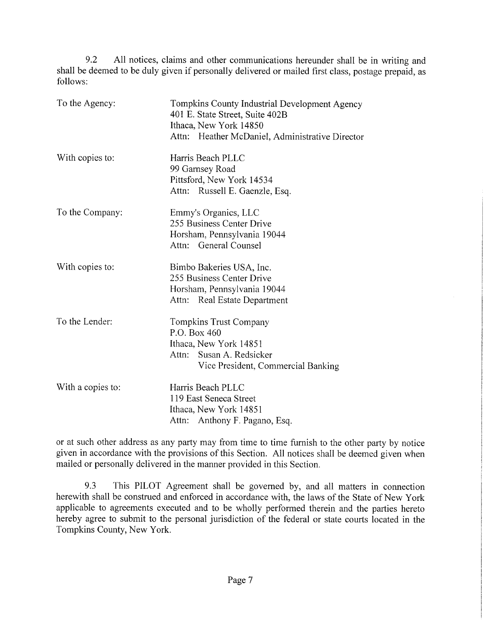9.2 All notices, claims and other communications hereunder shall be in writing and shall be deemed to be duly given if personally delivered or mailed first class, postage prepaid, as follows:

| To the Agency:    | Tompkins County Industrial Development Agency<br>401 E. State Street, Suite 402B<br>Ithaca, New York 14850<br>Attn: Heather McDaniel, Administrative Director |
|-------------------|---------------------------------------------------------------------------------------------------------------------------------------------------------------|
| With copies to:   | Harris Beach PLLC<br>99 Garnsey Road<br>Pittsford, New York 14534<br>Attn: Russell E. Gaenzle, Esq.                                                           |
| To the Company:   | Emmy's Organics, LLC<br>255 Business Center Drive<br>Horsham, Pennsylvania 19044<br>Attn: General Counsel                                                     |
| With copies to:   | Bimbo Bakeries USA, Inc.<br>255 Business Center Drive<br>Horsham, Pennsylvania 19044<br>Attn: Real Estate Department                                          |
| To the Lender:    | Tompkins Trust Company<br>P.O. Box 460<br>Ithaca, New York 14851<br>Attn: Susan A. Redsicker<br>Vice President, Commercial Banking                            |
| With a copies to: | Harris Beach PLLC<br>119 East Seneca Street<br>Ithaca, New York 14851<br>Attn: Anthony F. Pagano, Esq.                                                        |

or at such other address as any party may from time to time furnish to the other party by notice given in accordance with the provisions of this Section. All notices shall be deemed given when mailed or personally delivered in the manner provided in this Section.

9.3 This PILOT Agreement shall be governed by, and all matters in connection herewith shall be construed and enforced in accordance with, the laws of the State of New York applicable to agreements executed and to be wholly performed therein and the parties hereto hereby agree to submit to the personal jurisdiction of the federal or state courts located in the Tompkins County, New York.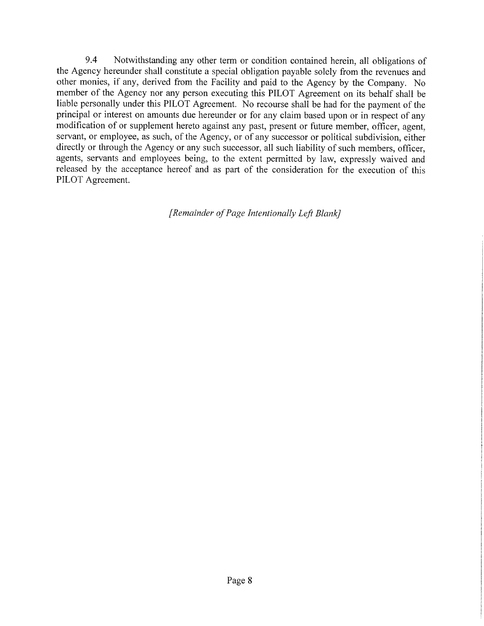9.4 Notwithstanding any other term or condition contained herein, all obligations of the Agency hereunder shall constitute a special obligation payable solely from the revenues and other monies, if any, derived from the Facility and paid to the Agency by the Company. No member of the Agency nor any person executing this PILOT Agreement on its behalf shall be liable personally under this PILOT Agreement. No recourse shall be had for the payment of the principal or interest on amounts due hereunder or for any claim based upon or in respect of any modification of or supplement hereto against any past, present or future member, officer, agent, servant, or employee, as such, of the Agency, or of any successor or political subdivision, either directly or through the Agency or any such successor, all such liability of such members, officer, agents, servants and employees being, to the extent permitted by law, expressly waived and released by the acceptance hereof and as part of the consideration for the execution of this PILOT Agreement.

[Remainder of Page Intentionally Left Blank]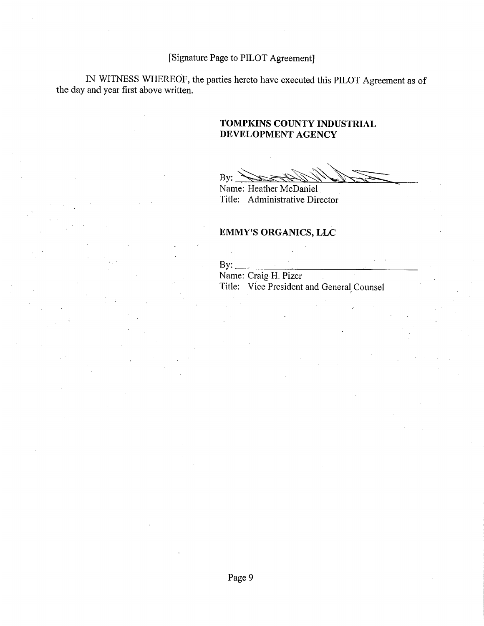# [Signature Page to PILOT Agreement]

IN WITNESS WHEREOF, the parties hereto have executed this PILOT Agreement as of the day and year first above written.

#### TOMPKINS COUNTY INDUSTRIAL DEVELOPMENT AGENCY

By:

Name: Heather McDaniel Title: Administrative Director

# EMMY'S ORGANICS, LLC

| $\mathbf{By:}$ |                                           |  |
|----------------|-------------------------------------------|--|
|                | Name: Craig H. Pizer                      |  |
|                | Title: Vice President and General Counsel |  |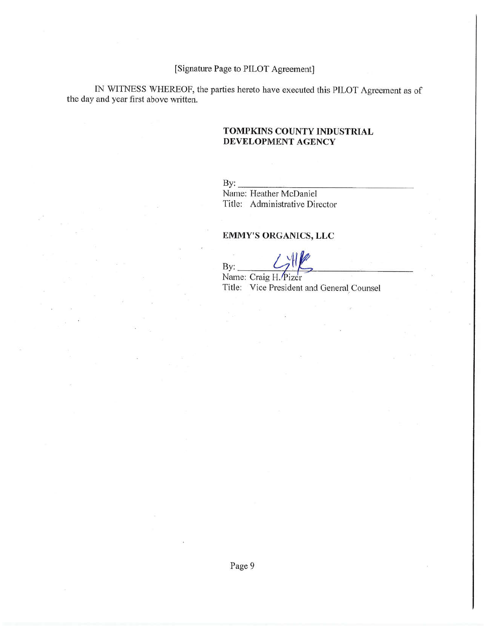#### [Signature Page to PILOT Agreement]

IN WITNESS WHEREOF, the parties hereto have executed this PILOT Agreement as of the day and year first above written.

#### TOMPKINS COUNTY INDUSTRIAL DEVELOPMENT AGENCY

 $By:$ 

Name: Heather McDaniel Title: Administrative Director

## EMMY'S ORGANICS, LLC

By:

Name: Craig H. Pizer Title: Vice President and General Counsel